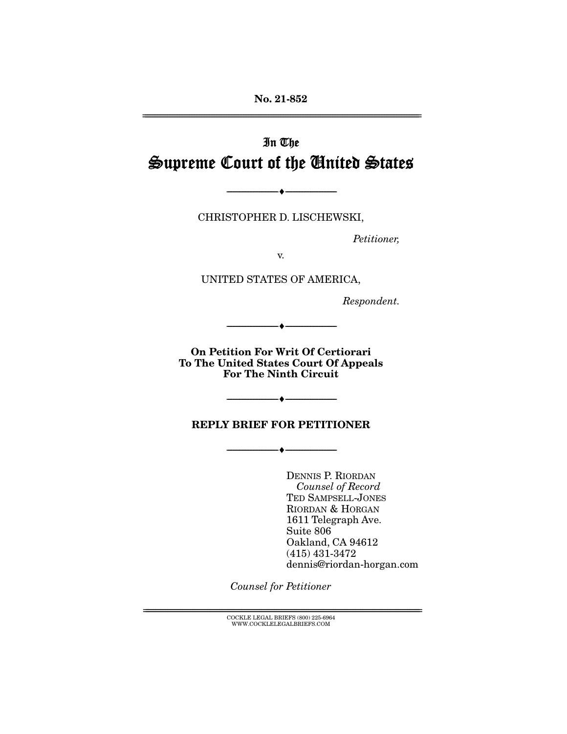**No. 21-852**  ================================================================================================================

# In The Supreme Court of the United States

CHRISTOPHER D. LISCHEWSKI,

 $\longrightarrow$   $\longleftarrow$   $\longrightarrow$ 

Petitioner,

v.

UNITED STATES OF AMERICA,

Respondent.

**On Petition For Writ Of Certiorari To The United States Court Of Appeals For The Ninth Circuit** 

 $-\bullet-\$ 

#### **REPLY BRIEF FOR PETITIONER**

--------------------------------- ♦ ---------------------------------

--------------------------------- ♦ ---------------------------------

DENNIS P. RIORDAN Counsel of Record TED SAMPSELL-JONES RIORDAN & HORGAN 1611 Telegraph Ave. Suite 806 Oakland, CA 94612 (415) 431-3472 dennis@riordan-horgan.com

Counsel for Petitioner

 ${ \rm COCKLE}$  LEGAL BRIEFS (800) 225-6964 WWW.COCKLELEGALBRIEFS.COM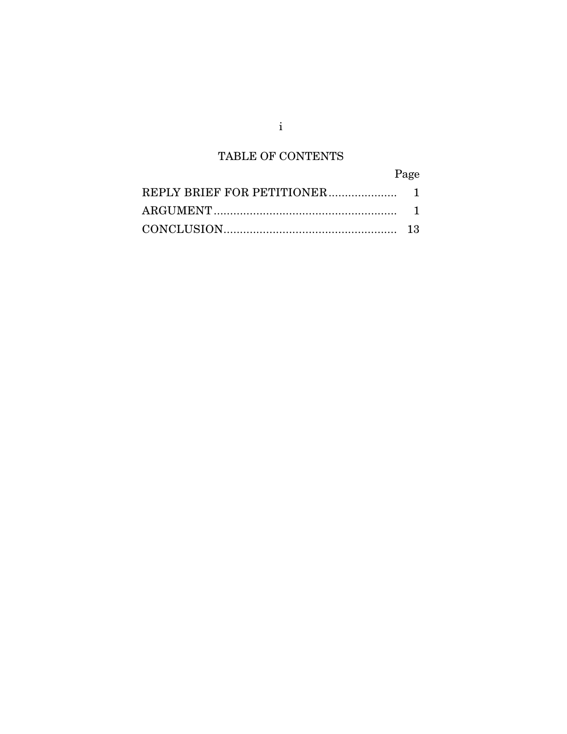## TABLE OF CONTENTS

| Page |
|------|
|      |
|      |
|      |

i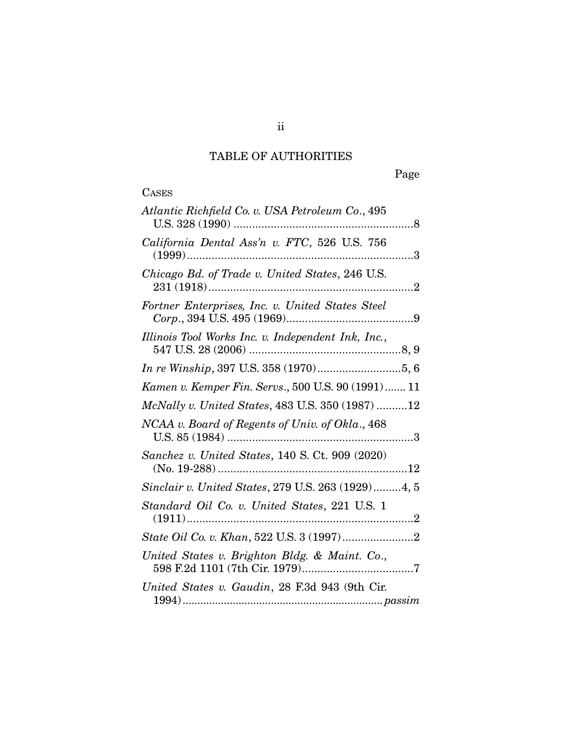## TABLE OF AUTHORITIES

| Atlantic Richfield Co. v. USA Petroleum Co., 495   |
|----------------------------------------------------|
| California Dental Ass'n v. FTC, 526 U.S. 756       |
| Chicago Bd. of Trade v. United States, 246 U.S.    |
| Fortner Enterprises, Inc. v. United States Steel   |
| Illinois Tool Works Inc. v. Independent Ink, Inc., |
| In re Winship, 397 U.S. 358 (1970)5, 6             |
| Kamen v. Kemper Fin. Servs., 500 U.S. 90 (1991) 11 |
| McNally v. United States, 483 U.S. 350 (1987) 12   |
| NCAA v. Board of Regents of Univ. of Okla., 468    |
| Sanchez v. United States, 140 S. Ct. 909 (2020)    |
| Sinclair v. United States, 279 U.S. 263 (1929)4, 5 |
| Standard Oil Co. v. United States, 221 U.S. 1      |
|                                                    |
| United States v. Brighton Bldg. & Maint. Co.,      |
| United States v. Gaudin, 28 F.3d 943 (9th Cir.     |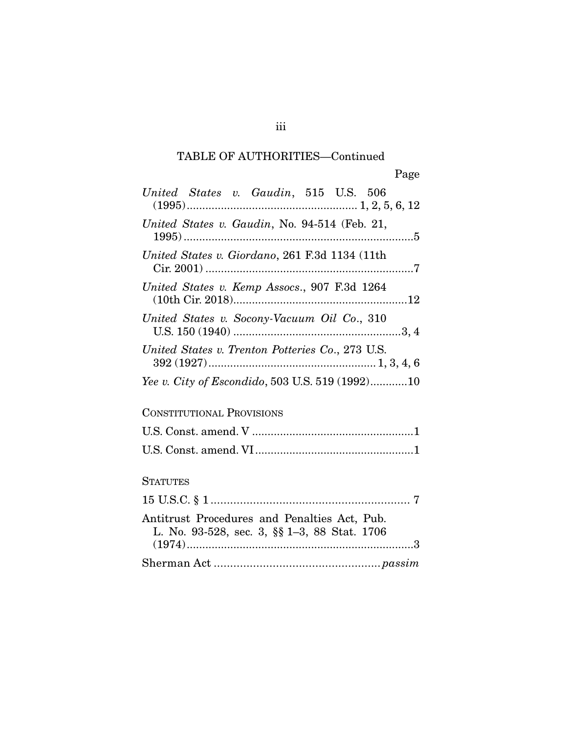## TABLE OF AUTHORITIES—Continued

| United States v. Gaudin, 515 U.S. 506                                                        |
|----------------------------------------------------------------------------------------------|
| United States v. Gaudin, No. 94-514 (Feb. 21,                                                |
| United States v. Giordano, 261 F.3d 1134 (11th                                               |
| United States v. Kemp Assocs., 907 F.3d 1264                                                 |
| United States v. Socony-Vacuum Oil Co., 310                                                  |
| United States v. Trenton Potteries Co., 273 U.S.                                             |
| Yee v. City of Escondido, 503 U.S. 519 (1992)10                                              |
| <b>CONSTITUTIONAL PROVISIONS</b>                                                             |
|                                                                                              |
|                                                                                              |
| <b>STATUTES</b>                                                                              |
|                                                                                              |
| Antitrust Procedures and Penalties Act, Pub.<br>L. No. 93-528, sec. 3, §§ 1-3, 88 Stat. 1706 |
|                                                                                              |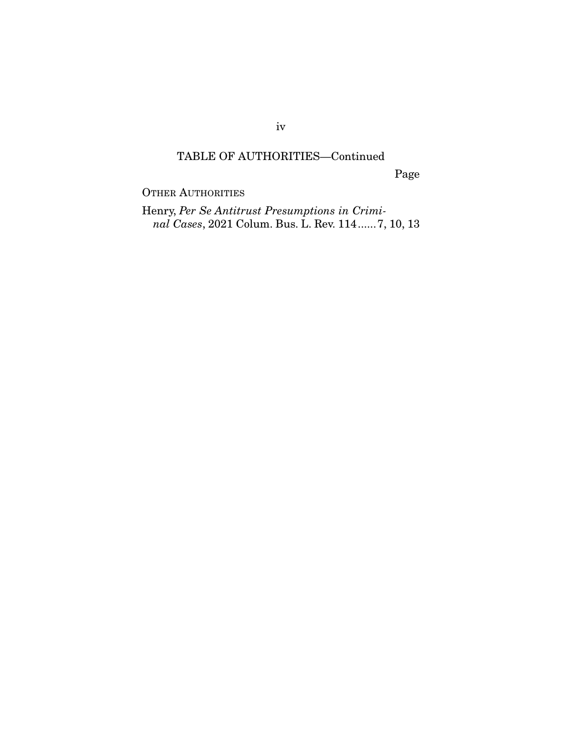iv

#### TABLE OF AUTHORITIES—Continued

Page

OTHER AUTHORITIES

Henry, *Per Se Antitrust Presumptions in Criminal Cases*, 2021 Colum. Bus. L. Rev. 114 ...... 7, 10, 13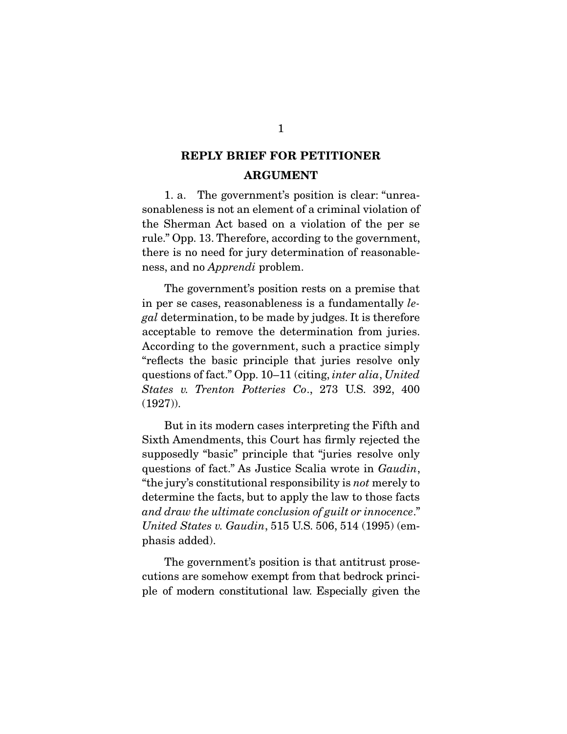### **REPLY BRIEF FOR PETITIONER ARGUMENT**

 1. a. The government's position is clear: "unreasonableness is not an element of a criminal violation of the Sherman Act based on a violation of the per se rule." Opp. 13. Therefore, according to the government, there is no need for jury determination of reasonableness, and no Apprendi problem.

 The government's position rests on a premise that in per se cases, reasonableness is a fundamentally legal determination, to be made by judges. It is therefore acceptable to remove the determination from juries. According to the government, such a practice simply "reflects the basic principle that juries resolve only questions of fact." Opp. 10–11 (citing, inter alia, United States v. Trenton Potteries Co., 273 U.S. 392, 400 (1927)).

 But in its modern cases interpreting the Fifth and Sixth Amendments, this Court has firmly rejected the supposedly "basic" principle that "juries resolve only questions of fact." As Justice Scalia wrote in Gaudin, "the jury's constitutional responsibility is not merely to determine the facts, but to apply the law to those facts and draw the ultimate conclusion of guilt or innocence." United States v. Gaudin, 515 U.S. 506, 514 (1995) (emphasis added).

 The government's position is that antitrust prosecutions are somehow exempt from that bedrock principle of modern constitutional law. Especially given the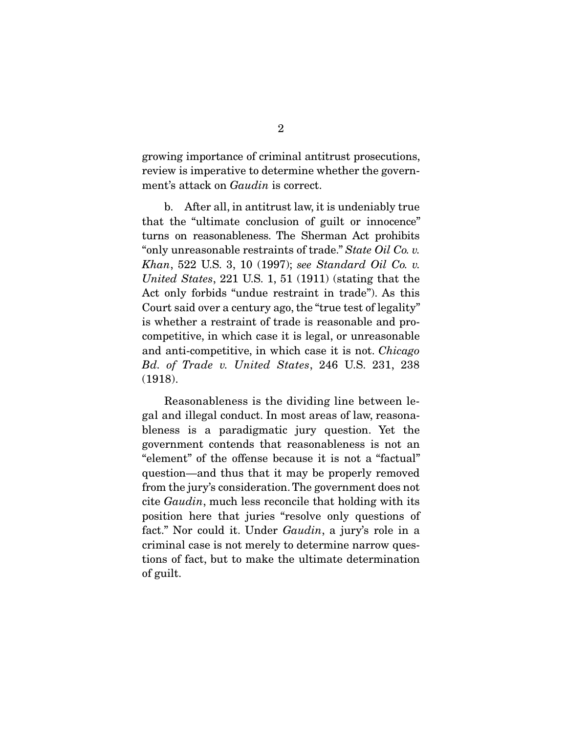growing importance of criminal antitrust prosecutions, review is imperative to determine whether the government's attack on Gaudin is correct.

 b. After all, in antitrust law, it is undeniably true that the "ultimate conclusion of guilt or innocence" turns on reasonableness. The Sherman Act prohibits "only unreasonable restraints of trade." State Oil Co. v. Khan, 522 U.S. 3, 10 (1997); see Standard Oil Co. v. United States, 221 U.S. 1, 51 (1911) (stating that the Act only forbids "undue restraint in trade"). As this Court said over a century ago, the "true test of legality" is whether a restraint of trade is reasonable and procompetitive, in which case it is legal, or unreasonable and anti-competitive, in which case it is not. Chicago Bd. of Trade v. United States, 246 U.S. 231, 238 (1918).

 Reasonableness is the dividing line between legal and illegal conduct. In most areas of law, reasonableness is a paradigmatic jury question. Yet the government contends that reasonableness is not an "element" of the offense because it is not a "factual" question—and thus that it may be properly removed from the jury's consideration. The government does not cite Gaudin, much less reconcile that holding with its position here that juries "resolve only questions of fact." Nor could it. Under *Gaudin*, a jury's role in a criminal case is not merely to determine narrow questions of fact, but to make the ultimate determination of guilt.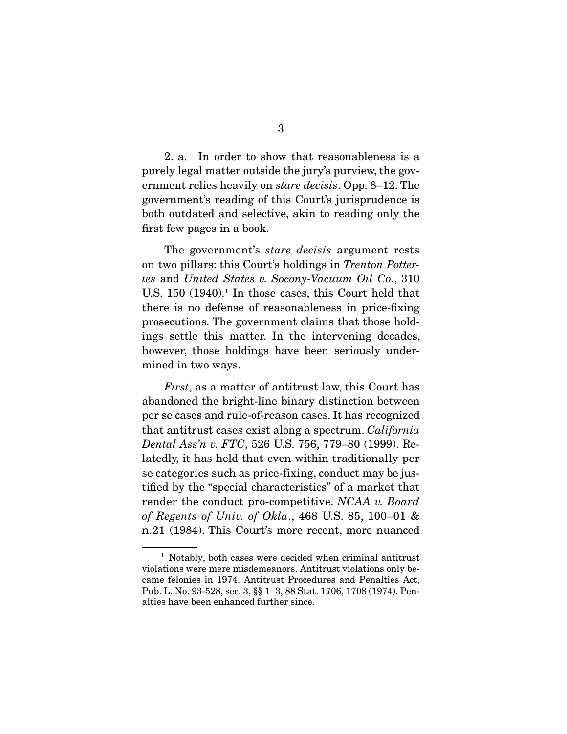2. a. In order to show that reasonableness is a purely legal matter outside the jury's purview, the government relies heavily on stare decisis. Opp. 8–12. The government's reading of this Court's jurisprudence is both outdated and selective, akin to reading only the first few pages in a book.

The government's *stare decisis* argument rests on two pillars: this Court's holdings in Trenton Potteries and United States v. Socony-Vacuum Oil Co., 310 U.S.  $150$  (1940).<sup>1</sup> In those cases, this Court held that there is no defense of reasonableness in price-fixing prosecutions. The government claims that those holdings settle this matter. In the intervening decades, however, those holdings have been seriously undermined in two ways.

First, as a matter of antitrust law, this Court has abandoned the bright-line binary distinction between per se cases and rule-of-reason cases. It has recognized that antitrust cases exist along a spectrum. California Dental Ass'n v. FTC, 526 U.S. 756, 779–80 (1999). Relatedly, it has held that even within traditionally per se categories such as price-fixing, conduct may be justified by the "special characteristics" of a market that render the conduct pro-competitive. NCAA v. Board of Regents of Univ. of Okla., 468 U.S. 85, 100–01 & n.21 (1984). This Court's more recent, more nuanced

<sup>&</sup>lt;sup>1</sup> Notably, both cases were decided when criminal antitrust violations were mere misdemeanors. Antitrust violations only became felonies in 1974. Antitrust Procedures and Penalties Act, Pub. L. No. 93-528, sec. 3, §§ 1–3, 88 Stat. 1706, 1708 (1974). Penalties have been enhanced further since.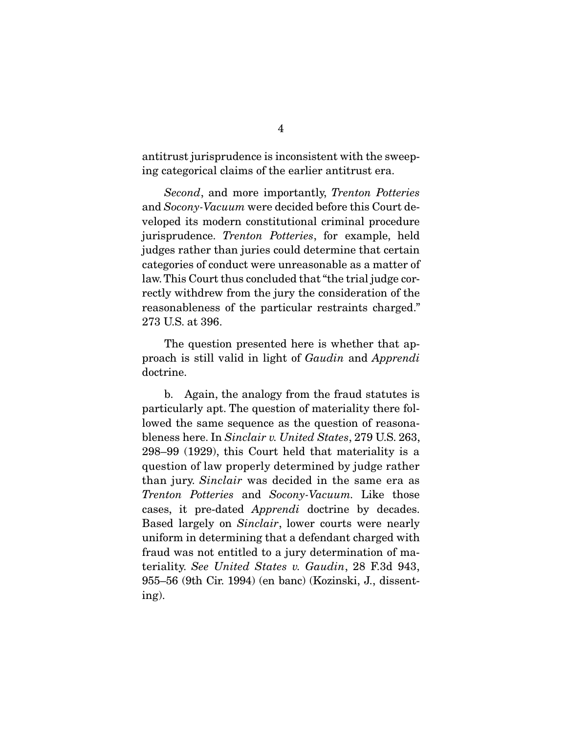antitrust jurisprudence is inconsistent with the sweeping categorical claims of the earlier antitrust era.

Second, and more importantly, Trenton Potteries and Socony-Vacuum were decided before this Court developed its modern constitutional criminal procedure jurisprudence. Trenton Potteries, for example, held judges rather than juries could determine that certain categories of conduct were unreasonable as a matter of law. This Court thus concluded that "the trial judge correctly withdrew from the jury the consideration of the reasonableness of the particular restraints charged." 273 U.S. at 396.

 The question presented here is whether that approach is still valid in light of Gaudin and Apprendi doctrine.

 b. Again, the analogy from the fraud statutes is particularly apt. The question of materiality there followed the same sequence as the question of reasonableness here. In Sinclair v. United States, 279 U.S. 263, 298–99 (1929), this Court held that materiality is a question of law properly determined by judge rather than jury. Sinclair was decided in the same era as Trenton Potteries and Socony-Vacuum. Like those cases, it pre-dated Apprendi doctrine by decades. Based largely on Sinclair, lower courts were nearly uniform in determining that a defendant charged with fraud was not entitled to a jury determination of materiality. See United States v. Gaudin, 28 F.3d 943, 955–56 (9th Cir. 1994) (en banc) (Kozinski, J., dissenting).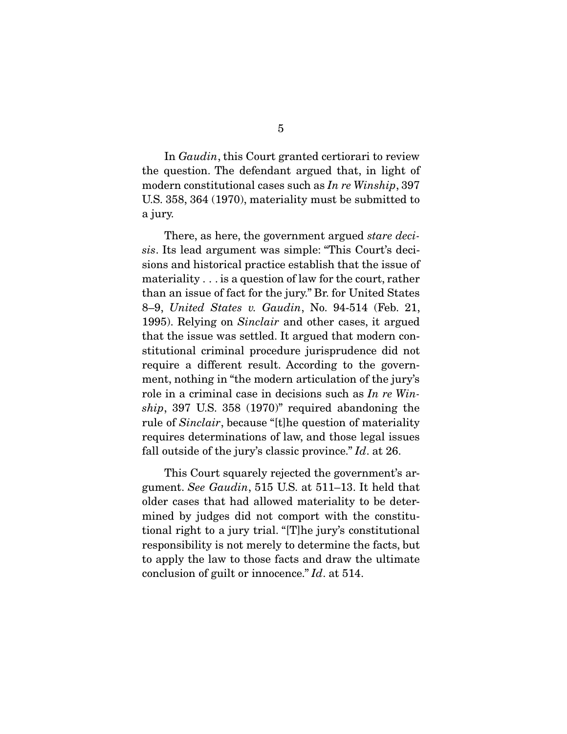In Gaudin, this Court granted certiorari to review the question. The defendant argued that, in light of modern constitutional cases such as In re Winship, 397 U.S. 358, 364 (1970), materiality must be submitted to a jury.

There, as here, the government argued *stare deci*sis. Its lead argument was simple: "This Court's decisions and historical practice establish that the issue of materiality . . . is a question of law for the court, rather than an issue of fact for the jury." Br. for United States 8–9, United States v. Gaudin, No. 94-514 (Feb. 21, 1995). Relying on Sinclair and other cases, it argued that the issue was settled. It argued that modern constitutional criminal procedure jurisprudence did not require a different result. According to the government, nothing in "the modern articulation of the jury's role in a criminal case in decisions such as In re Winship, 397 U.S. 358 (1970)" required abandoning the rule of Sinclair, because "[t]he question of materiality requires determinations of law, and those legal issues fall outside of the jury's classic province." Id. at 26.

 This Court squarely rejected the government's argument. See Gaudin, 515 U.S. at 511–13. It held that older cases that had allowed materiality to be determined by judges did not comport with the constitutional right to a jury trial. "[T]he jury's constitutional responsibility is not merely to determine the facts, but to apply the law to those facts and draw the ultimate conclusion of guilt or innocence." Id. at 514.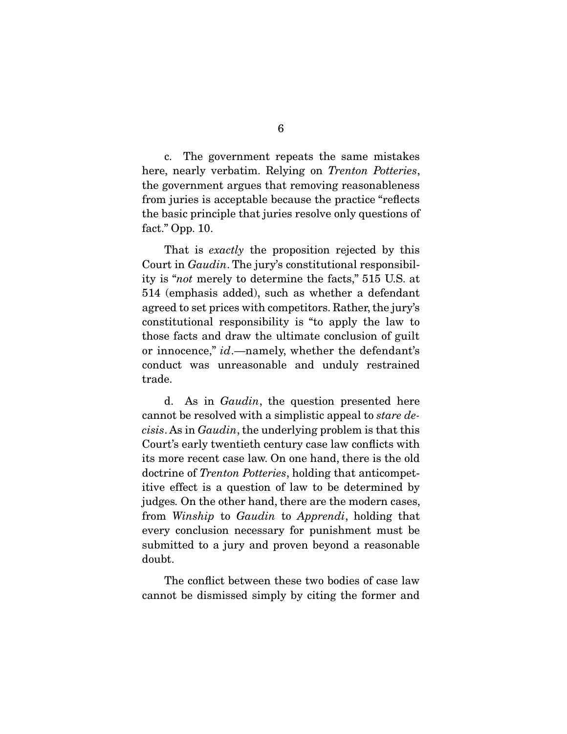c. The government repeats the same mistakes here, nearly verbatim. Relying on *Trenton Potteries*, the government argues that removing reasonableness from juries is acceptable because the practice "reflects the basic principle that juries resolve only questions of fact." Opp. 10.

That is *exactly* the proposition rejected by this Court in Gaudin. The jury's constitutional responsibility is "not merely to determine the facts," 515 U.S. at 514 (emphasis added), such as whether a defendant agreed to set prices with competitors. Rather, the jury's constitutional responsibility is "to apply the law to those facts and draw the ultimate conclusion of guilt or innocence," id.—namely, whether the defendant's conduct was unreasonable and unduly restrained trade.

 d. As in Gaudin, the question presented here cannot be resolved with a simplistic appeal to stare decisis. As in Gaudin, the underlying problem is that this Court's early twentieth century case law conflicts with its more recent case law. On one hand, there is the old doctrine of Trenton Potteries, holding that anticompetitive effect is a question of law to be determined by judges. On the other hand, there are the modern cases, from Winship to Gaudin to Apprendi, holding that every conclusion necessary for punishment must be submitted to a jury and proven beyond a reasonable doubt.

 The conflict between these two bodies of case law cannot be dismissed simply by citing the former and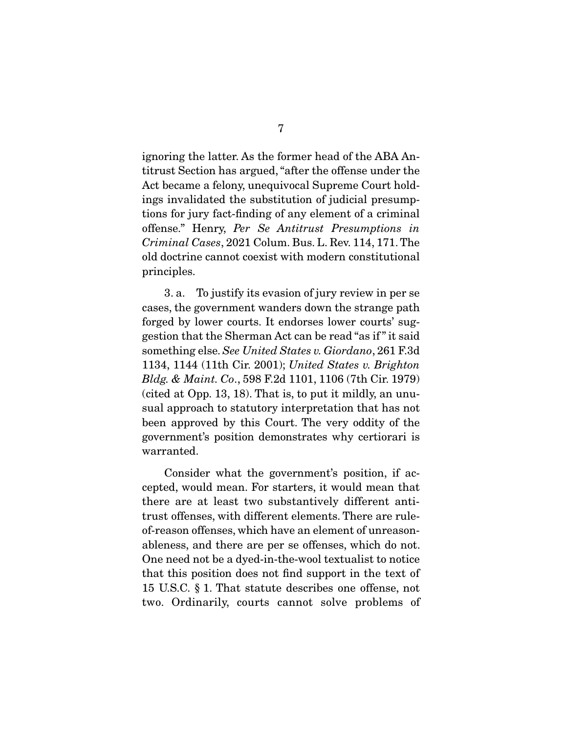ignoring the latter. As the former head of the ABA Antitrust Section has argued, "after the offense under the Act became a felony, unequivocal Supreme Court holdings invalidated the substitution of judicial presumptions for jury fact-finding of any element of a criminal offense." Henry, Per Se Antitrust Presumptions in Criminal Cases, 2021 Colum. Bus. L. Rev. 114, 171. The old doctrine cannot coexist with modern constitutional principles.

 3. a. To justify its evasion of jury review in per se cases, the government wanders down the strange path forged by lower courts. It endorses lower courts' suggestion that the Sherman Act can be read "as if " it said something else. See United States v. Giordano, 261 F.3d 1134, 1144 (11th Cir. 2001); United States v. Brighton Bldg. & Maint. Co., 598 F.2d 1101, 1106 (7th Cir. 1979) (cited at Opp. 13, 18). That is, to put it mildly, an unusual approach to statutory interpretation that has not been approved by this Court. The very oddity of the government's position demonstrates why certiorari is warranted.

 Consider what the government's position, if accepted, would mean. For starters, it would mean that there are at least two substantively different antitrust offenses, with different elements. There are ruleof-reason offenses, which have an element of unreasonableness, and there are per se offenses, which do not. One need not be a dyed-in-the-wool textualist to notice that this position does not find support in the text of 15 U.S.C. § 1. That statute describes one offense, not two. Ordinarily, courts cannot solve problems of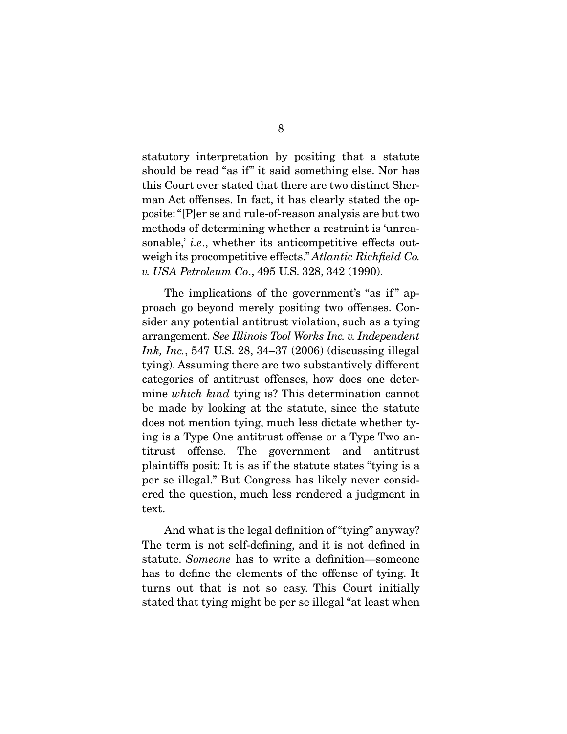statutory interpretation by positing that a statute should be read "as if" it said something else. Nor has this Court ever stated that there are two distinct Sherman Act offenses. In fact, it has clearly stated the opposite: "[P]er se and rule-of-reason analysis are but two methods of determining whether a restraint is 'unreasonable, *i.e.*, whether its anticompetitive effects outweigh its procompetitive effects." Atlantic Richfield Co. v. USA Petroleum Co., 495 U.S. 328, 342 (1990).

The implications of the government's "as if" approach go beyond merely positing two offenses. Consider any potential antitrust violation, such as a tying arrangement. See Illinois Tool Works Inc. v. Independent Ink, Inc., 547 U.S. 28, 34–37 (2006) (discussing illegal tying). Assuming there are two substantively different categories of antitrust offenses, how does one determine which kind tying is? This determination cannot be made by looking at the statute, since the statute does not mention tying, much less dictate whether tying is a Type One antitrust offense or a Type Two antitrust offense. The government and antitrust plaintiffs posit: It is as if the statute states "tying is a per se illegal." But Congress has likely never considered the question, much less rendered a judgment in text.

 And what is the legal definition of "tying" anyway? The term is not self-defining, and it is not defined in statute. Someone has to write a definition—someone has to define the elements of the offense of tying. It turns out that is not so easy. This Court initially stated that tying might be per se illegal "at least when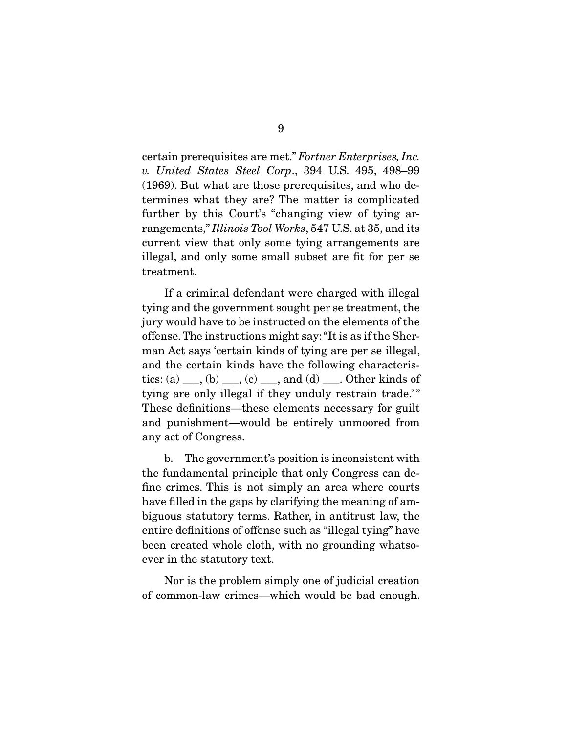certain prerequisites are met." Fortner Enterprises, Inc. v. United States Steel Corp., 394 U.S. 495, 498–99 (1969). But what are those prerequisites, and who determines what they are? The matter is complicated further by this Court's "changing view of tying arrangements," Illinois Tool Works, 547 U.S. at 35, and its current view that only some tying arrangements are illegal, and only some small subset are fit for per se treatment.

 If a criminal defendant were charged with illegal tying and the government sought per se treatment, the jury would have to be instructed on the elements of the offense. The instructions might say: "It is as if the Sherman Act says 'certain kinds of tying are per se illegal, and the certain kinds have the following characteristics: (a)  $\_\_\_\_\_$ , (b)  $\_\_\_\_\_$ , (c)  $\_\_\_\_\$  and (d)  $\_\_\_\_\$ . Other kinds of tying are only illegal if they unduly restrain trade.'" These definitions—these elements necessary for guilt and punishment—would be entirely unmoored from any act of Congress.

 b. The government's position is inconsistent with the fundamental principle that only Congress can define crimes. This is not simply an area where courts have filled in the gaps by clarifying the meaning of ambiguous statutory terms. Rather, in antitrust law, the entire definitions of offense such as "illegal tying" have been created whole cloth, with no grounding whatsoever in the statutory text.

 Nor is the problem simply one of judicial creation of common-law crimes—which would be bad enough.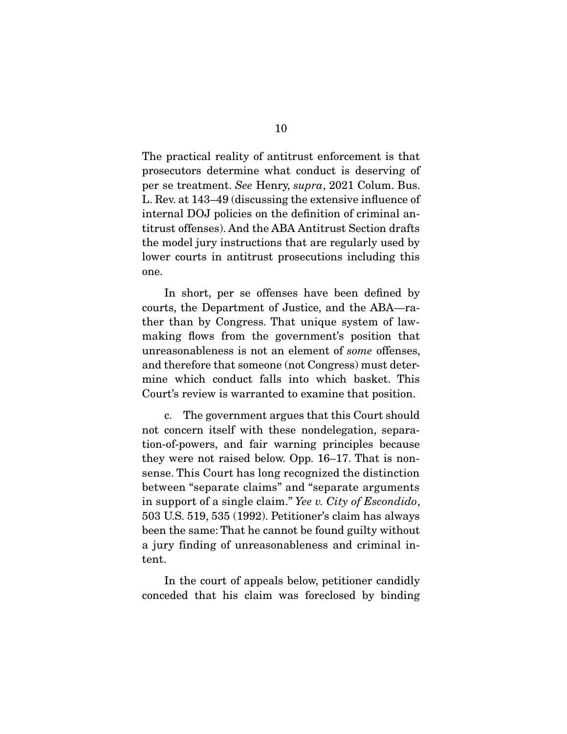The practical reality of antitrust enforcement is that prosecutors determine what conduct is deserving of per se treatment. See Henry, supra, 2021 Colum. Bus. L. Rev. at 143–49 (discussing the extensive influence of internal DOJ policies on the definition of criminal antitrust offenses). And the ABA Antitrust Section drafts the model jury instructions that are regularly used by lower courts in antitrust prosecutions including this one.

 In short, per se offenses have been defined by courts, the Department of Justice, and the ABA—rather than by Congress. That unique system of lawmaking flows from the government's position that unreasonableness is not an element of some offenses, and therefore that someone (not Congress) must determine which conduct falls into which basket. This Court's review is warranted to examine that position.

 c. The government argues that this Court should not concern itself with these nondelegation, separation-of-powers, and fair warning principles because they were not raised below. Opp. 16–17. That is nonsense. This Court has long recognized the distinction between "separate claims" and "separate arguments in support of a single claim." Yee v. City of Escondido, 503 U.S. 519, 535 (1992). Petitioner's claim has always been the same: That he cannot be found guilty without a jury finding of unreasonableness and criminal intent.

 In the court of appeals below, petitioner candidly conceded that his claim was foreclosed by binding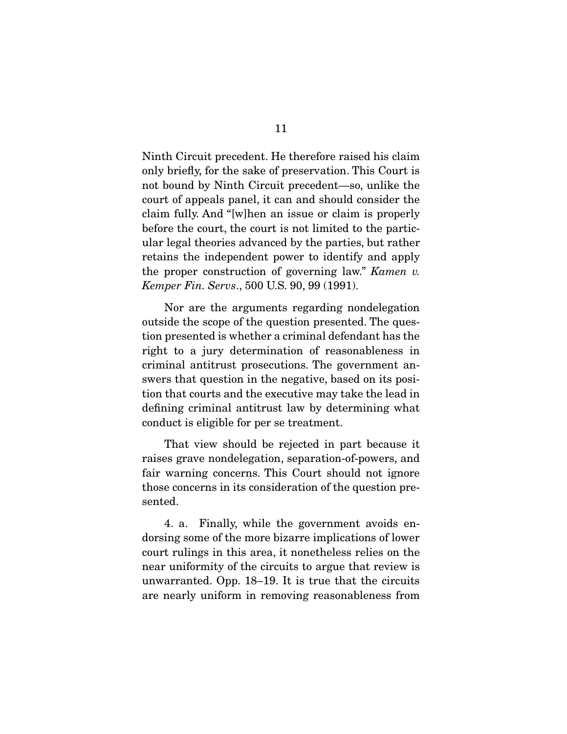Ninth Circuit precedent. He therefore raised his claim only briefly, for the sake of preservation. This Court is not bound by Ninth Circuit precedent—so, unlike the court of appeals panel, it can and should consider the claim fully. And "[w]hen an issue or claim is properly before the court, the court is not limited to the particular legal theories advanced by the parties, but rather retains the independent power to identify and apply the proper construction of governing law." Kamen v. Kemper Fin. Servs., 500 U.S. 90, 99 (1991).

 Nor are the arguments regarding nondelegation outside the scope of the question presented. The question presented is whether a criminal defendant has the right to a jury determination of reasonableness in criminal antitrust prosecutions. The government answers that question in the negative, based on its position that courts and the executive may take the lead in defining criminal antitrust law by determining what conduct is eligible for per se treatment.

 That view should be rejected in part because it raises grave nondelegation, separation-of-powers, and fair warning concerns. This Court should not ignore those concerns in its consideration of the question presented.

 4. a. Finally, while the government avoids endorsing some of the more bizarre implications of lower court rulings in this area, it nonetheless relies on the near uniformity of the circuits to argue that review is unwarranted. Opp. 18–19. It is true that the circuits are nearly uniform in removing reasonableness from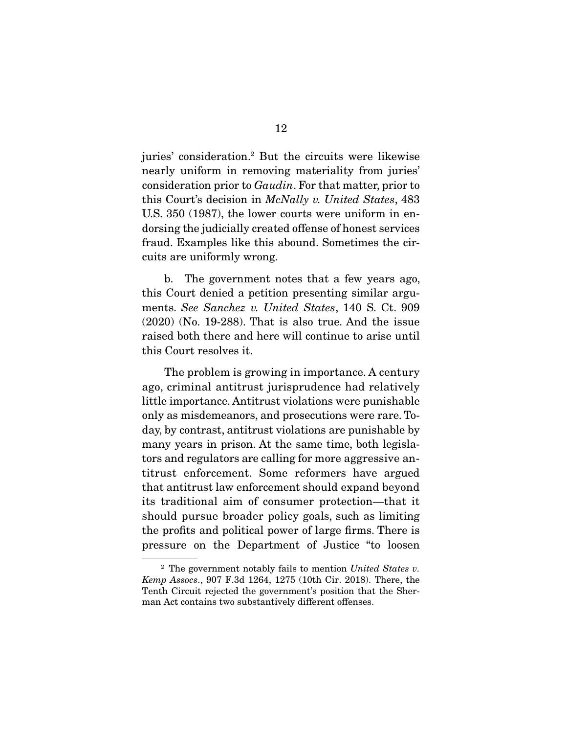juries' consideration.2 But the circuits were likewise nearly uniform in removing materiality from juries' consideration prior to Gaudin. For that matter, prior to this Court's decision in McNally v. United States, 483 U.S. 350 (1987), the lower courts were uniform in endorsing the judicially created offense of honest services fraud. Examples like this abound. Sometimes the circuits are uniformly wrong.

 b. The government notes that a few years ago, this Court denied a petition presenting similar arguments. See Sanchez v. United States, 140 S. Ct. 909 (2020) (No. 19-288). That is also true. And the issue raised both there and here will continue to arise until this Court resolves it.

 The problem is growing in importance. A century ago, criminal antitrust jurisprudence had relatively little importance. Antitrust violations were punishable only as misdemeanors, and prosecutions were rare. Today, by contrast, antitrust violations are punishable by many years in prison. At the same time, both legislators and regulators are calling for more aggressive antitrust enforcement. Some reformers have argued that antitrust law enforcement should expand beyond its traditional aim of consumer protection—that it should pursue broader policy goals, such as limiting the profits and political power of large firms. There is pressure on the Department of Justice "to loosen

 $2$  The government notably fails to mention United States v. Kemp Assocs., 907 F.3d 1264, 1275 (10th Cir. 2018). There, the Tenth Circuit rejected the government's position that the Sherman Act contains two substantively different offenses.